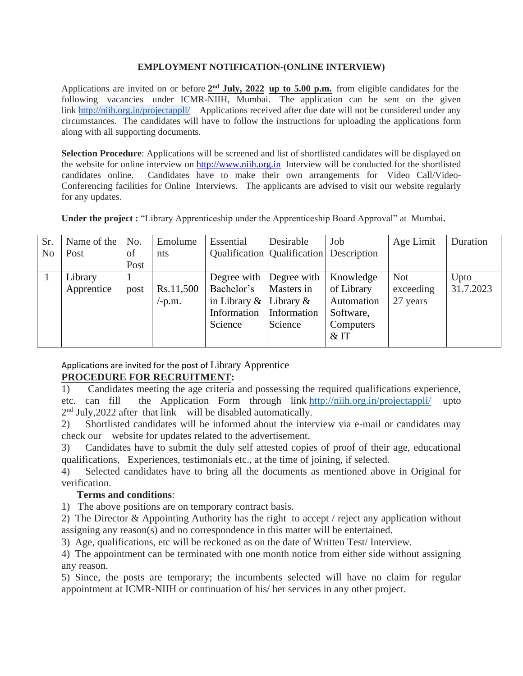## **EMPLOYMENT NOTIFICATION-(ONLINE INTERVIEW)**

Applications are invited on or before  $2<sup>nd</sup>$  **July, 2022** up to 5.00 p.m. from eligible candidates for the following vacancies under ICMR-NIIH, Mumbai. The application can be sent on the given link <http://niih.org.in/projectappli/>Applications received after due date will not be considered under any circumstances. The candidates will have to follow the instructions for uploading the applications form along with all supporting documents.

**Selection Procedure**: Applications will be screened and list of shortlisted candidates will be displayed on the website for online interview on [http://www.niih.org.in](http://www.niih.org.in/) Interview will be conducted for the shortlisted candidates online. Candidates have to make their own arrangements for Video Call/Video-Conferencing facilities for Online Interviews. The applicants are advised to visit our website regularly for any updates.

**Under the project :** "Library Apprenticeship under the Apprenticeship Board Approval" at Mumbai**.**

| Sr.            | Name of the | No.  | Emolume                    | Essential                               | Desirable   | Job        | Age Limit  | Duration  |
|----------------|-------------|------|----------------------------|-----------------------------------------|-------------|------------|------------|-----------|
| N <sub>0</sub> | Post        | of   | nts                        | Qualification Qualification Description |             |            |            |           |
|                |             | Post |                            |                                         |             |            |            |           |
|                | Library     |      |                            | Degree with Degree with                 |             | Knowledge  | <b>Not</b> | Upto      |
|                | Apprentice  | post | Rs.11,500                  | Bachelor's                              | Masters in  | of Library | exceeding  | 31.7.2023 |
|                |             |      | $\mathbf{-p}.\mathbf{m}$ . | in Library $\&$ Library $\&$            |             | Automation | 27 years   |           |
|                |             |      |                            | Information                             | Information | Software,  |            |           |
|                |             |      |                            | Science                                 | Science     | Computers  |            |           |
|                |             |      |                            |                                         |             | $&$ IT     |            |           |

Applications are invited for the post of Library Apprentice **PROCEDURE FOR RECRUITMENT:**

1) Candidates meeting the age criteria and possessing the required qualifications experience, etc. can fill the Application Form through link <http://niih.org.in/projectappli/> upto 2<sup>nd</sup> July, 2022 after that link will be disabled automatically.

2) Shortlisted candidates will be informed about the interview via e-mail or candidates may check our website for updates related to the advertisement.

3) Candidates have to submit the duly self attested copies of proof of their age, educational qualifications, Experiences, testimonials etc., at the time of joining, if selected.

4) Selected candidates have to bring all the documents as mentioned above in Original for verification.

## **Terms and conditions**:

1) The above positions are on temporary contract basis.

2) The Director & Appointing Authority has the right to accept / reject any application without assigning any reason(s) and no correspondence in this matter will be entertained.

3) Age, qualifications, etc will be reckoned as on the date of Written Test/ Interview.

4) The appointment can be terminated with one month notice from either side without assigning any reason.

5) Since, the posts are temporary; the incumbents selected will have no claim for regular appointment at ICMR-NIIH or continuation of his/ her services in any other project.